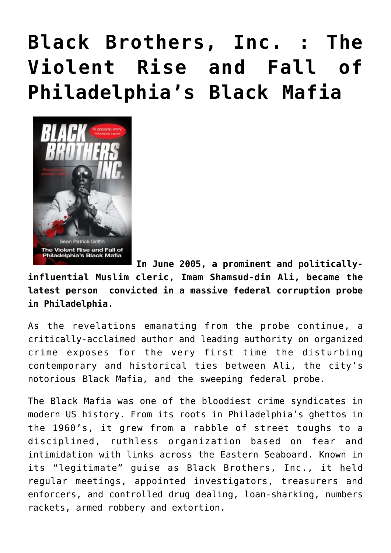# **[Black Brothers, Inc. : The](https://seanpatrickgriffin.net/black-brothers-inc/) [Violent Rise and Fall of](https://seanpatrickgriffin.net/black-brothers-inc/) [Philadelphia's Black Mafia](https://seanpatrickgriffin.net/black-brothers-inc/)**



**In June 2005, a prominent and politicallyinfluential Muslim cleric, Imam Shamsud-din Ali, became the latest person convicted in a massive federal corruption probe in Philadelphia.**

As the revelations emanating from the probe continue, a critically-acclaimed author and leading authority on organized crime exposes for the very first time the disturbing contemporary and historical ties between Ali, the city's notorious Black Mafia, and the sweeping federal probe.

The Black Mafia was one of the bloodiest crime syndicates in modern US history. From its roots in Philadelphia's ghettos in the 1960's, it grew from a rabble of street toughs to a disciplined, ruthless organization based on fear and intimidation with links across the Eastern Seaboard. Known in its "legitimate" guise as Black Brothers, Inc., it held regular meetings, appointed investigators, treasurers and enforcers, and controlled drug dealing, loan-sharking, numbers rackets, armed robbery and extortion.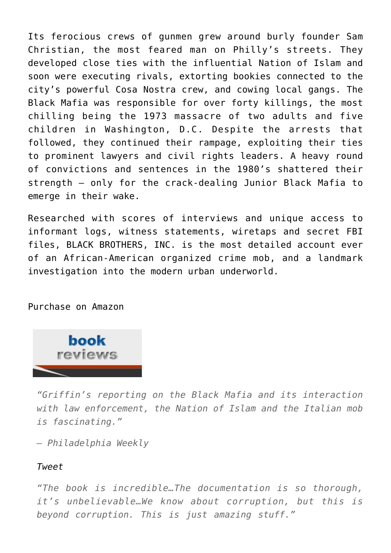Its ferocious crews of gunmen grew around burly founder Sam Christian, the most feared man on Philly's streets. They developed close ties with the influential Nation of Islam and soon were executing rivals, extorting bookies connected to the city's powerful Cosa Nostra crew, and cowing local gangs. The Black Mafia was responsible for over forty killings, the most chilling being the 1973 massacre of two adults and five children in Washington, D.C. Despite the arrests that followed, they continued their rampage, exploiting their ties to prominent lawyers and civil rights leaders. A heavy round of convictions and sentences in the 1980's shattered their strength – only for the crack-dealing Junior Black Mafia to emerge in their wake.

Researched with scores of interviews and unique access to informant logs, witness statements, wiretaps and secret FBI files, BLACK BROTHERS, INC. is the most detailed account ever of an African-American organized crime mob, and a landmark investigation into the modern urban underworld.

[Purchase on Amazon](https://www.amazon.com/gp/product/B004X2HPPO/ref=dbs_a_def_rwt_hsch_vapi_taft_p1_i1)



*"Griffin's reporting on the Black Mafia and its interaction with law enforcement, the Nation of Islam and the Italian mob is fascinating."*

*– Philadelphia Weekly*

## *[Tweet](https://twitter.com/intent/tweet?text=%E2%80%9CGriffin%E2%80%99s+reporting+on+the+Black+Mafia+and+its+interaction+with+law+enforcement%2C+the+Nation+of+Islam+and+the+Italian+mob+is+fascinating.%E2%80%9D+%E2%80%94+%E2%80%93+Philadelphia+Weekly&url=https%3A%2F%2Fseanpatrickgriffin.net%2Fwp-admin%2Fadmin-ajax.php&via=spgauthor)*

*"The book is incredible…The documentation is so thorough, it's unbelievable…We know about corruption, but this is beyond corruption. This is just amazing stuff."*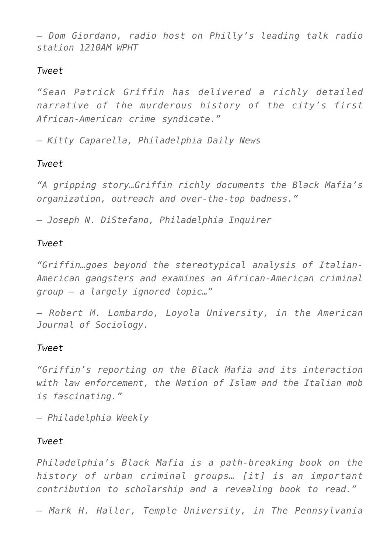*– Dom Giordano, radio host on Philly's leading talk radio station 1210AM WPHT*

## *[Tweet](https://twitter.com/intent/tweet?text=%E2%80%9CThe+book+is+incredible%E2%80%A6The+documentation+is+so+thorough%2C+it%E2%80%99s+unbelievable%E2%80%A6We+know+about+corruption%2C+but+this+is+beyond+corruption.+This+is+just+amazing+stuff.%E2%80%9D+%E2%80%94+%E2%80%93+Dom+Giordano%2C+radio+host+on+Philly%E2%80%99s+leading+talk+radio+station+1210AM+WPHT&url=https%3A%2F%2Fseanpatrickgriffin.net%2Fwp-admin%2Fadmin-ajax.php&via=spgauthor)*

*"Sean Patrick Griffin has delivered a richly detailed narrative of the murderous history of the city's first African-American crime syndicate."*

*– Kitty Caparella, Philadelphia Daily News*

## *[Tweet](https://twitter.com/intent/tweet?text=%E2%80%9CSean+Patrick+Griffin+has+delivered+a+richly+detailed+narrative+of+the+murderous+history+of+the+city%E2%80%99s+first+African-American+crime+syndicate.%E2%80%9D+%E2%80%94+%E2%80%93+Kitty+Caparella%2C+Philadelphia+Daily+News&url=https%3A%2F%2Fseanpatrickgriffin.net%2Fwp-admin%2Fadmin-ajax.php&via=spgauthor)*

*"A gripping story…Griffin richly documents the Black Mafia's organization, outreach and over-the-top badness."*

*– Joseph N. DiStefano, Philadelphia Inquirer*

#### *[Tweet](https://twitter.com/intent/tweet?text=%E2%80%9CA+gripping+story%E2%80%A6Griffin+richly+documents+the+Black+Mafia%E2%80%99s+organization%2C+outreach+and+over-the-top+badness.%E2%80%9D+%E2%80%94+%E2%80%93+Joseph+N.+DiStefano%2C+Philadelphia+Inquirer&url=https%3A%2F%2Fseanpatrickgriffin.net%2Fwp-admin%2Fadmin-ajax.php&via=spgauthor)*

*"Griffin…goes beyond the stereotypical analysis of Italian-American gangsters and examines an African-American criminal group – a largely ignored topic…"*

*– Robert M. Lombardo, Loyola University, in the American Journal of Sociology.*

## *[Tweet](https://twitter.com/intent/tweet?text=%E2%80%9CGriffin%E2%80%A6goes+beyond+the+stereotypical+analysis+of+Italian-American+gangsters+and+examines+an+African-American+criminal+group+%E2%80%93+a+largely+ignored+topic%E2%80%A6%E2%80%9D+%E2%80%94+%E2%80%93+Robert+M.+Lombardo%2C+Loyola+University%2C+in+the+American+Journal+of+Sociology.&url=https%3A%2F%2Fseanpatrickgriffin.net%2Fwp-admin%2Fadmin-ajax.php&via=spgauthor)*

*"Griffin's reporting on the Black Mafia and its interaction with law enforcement, the Nation of Islam and the Italian mob is fascinating."*

*– Philadelphia Weekly*

## *[Tweet](https://twitter.com/intent/tweet?text=%E2%80%9CGriffin%E2%80%99s+reporting+on+the+Black+Mafia+and+its+interaction+with+law+enforcement%2C+the+Nation+of+Islam+and+the+Italian+mob+is+fascinating.%E2%80%9D+%E2%80%94+%E2%80%93+Philadelphia+Weekly&url=https%3A%2F%2Fseanpatrickgriffin.net%2Fwp-admin%2Fadmin-ajax.php&via=spgauthor)*

*Philadelphia's Black Mafia is a path-breaking book on the history of urban criminal groups… [it] is an important contribution to scholarship and a revealing book to read."*

*– Mark H. Haller, Temple University, in The Pennsylvania*